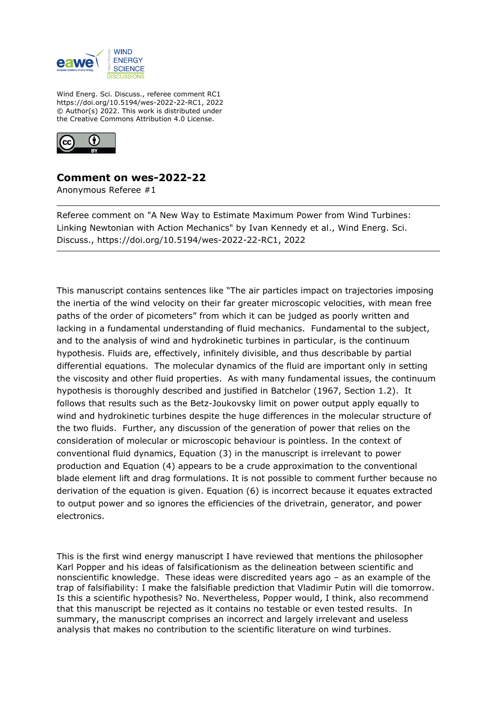

Wind Energ. Sci. Discuss., referee comment RC1 https://doi.org/10.5194/wes-2022-22-RC1, 2022 © Author(s) 2022. This work is distributed under the Creative Commons Attribution 4.0 License.



## **Comment on wes-2022-22**

Anonymous Referee #1

Referee comment on "A New Way to Estimate Maximum Power from Wind Turbines: Linking Newtonian with Action Mechanics" by Ivan Kennedy et al., Wind Energ. Sci. Discuss., https://doi.org/10.5194/wes-2022-22-RC1, 2022

This manuscript contains sentences like "The air particles impact on trajectories imposing the inertia of the wind velocity on their far greater microscopic velocities, with mean free paths of the order of picometers" from which it can be judged as poorly written and lacking in a fundamental understanding of fluid mechanics. Fundamental to the subject, and to the analysis of wind and hydrokinetic turbines in particular, is the continuum hypothesis. Fluids are, effectively, infinitely divisible, and thus describable by partial differential equations. The molecular dynamics of the fluid are important only in setting the viscosity and other fluid properties. As with many fundamental issues, the continuum hypothesis is thoroughly described and justified in Batchelor (1967, Section 1.2). It follows that results such as the Betz-Joukovsky limit on power output apply equally to wind and hydrokinetic turbines despite the huge differences in the molecular structure of the two fluids. Further, any discussion of the generation of power that relies on the consideration of molecular or microscopic behaviour is pointless. In the context of conventional fluid dynamics, Equation (3) in the manuscript is irrelevant to power production and Equation (4) appears to be a crude approximation to the conventional blade element lift and drag formulations. It is not possible to comment further because no derivation of the equation is given. Equation (6) is incorrect because it equates extracted to output power and so ignores the efficiencies of the drivetrain, generator, and power electronics.

This is the first wind energy manuscript I have reviewed that mentions the philosopher Karl Popper and his ideas of falsificationism as the delineation between scientific and nonscientific knowledge. These ideas were discredited years ago – as an example of the trap of falsifiability: I make the falsifiable prediction that Vladimir Putin will die tomorrow. Is this a scientific hypothesis? No. Nevertheless, Popper would, I think, also recommend that this manuscript be rejected as it contains no testable or even tested results. In summary, the manuscript comprises an incorrect and largely irrelevant and useless analysis that makes no contribution to the scientific literature on wind turbines.